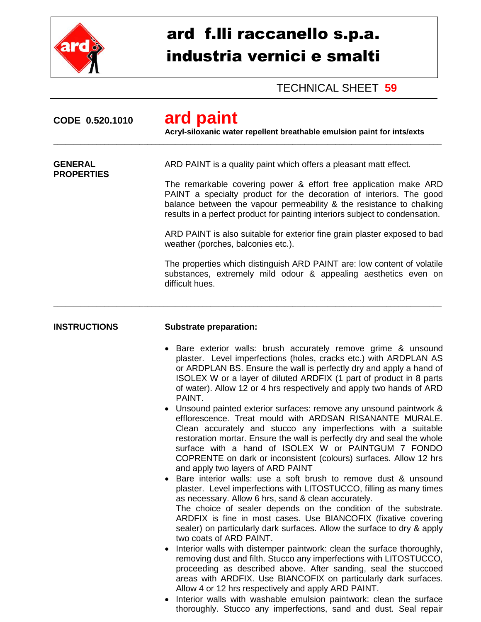

## ard f.lli raccanello s.p.a. industria vernici e smalti

TECHNICAL SHEET **59**

| CODE 0.520.1010                     | ard paint<br>Acryl-siloxanic water repellent breathable emulsion paint for ints/exts                                                                                                                                                                                                                                                                                                                                                                                                                                                                                                                                                                                                                                                                                                                                                                                                                                                                                                                                                                                                                                                                                                                                                                                                                                                                                                                                                                                                                                                                                                                                                                                                                                                     |
|-------------------------------------|------------------------------------------------------------------------------------------------------------------------------------------------------------------------------------------------------------------------------------------------------------------------------------------------------------------------------------------------------------------------------------------------------------------------------------------------------------------------------------------------------------------------------------------------------------------------------------------------------------------------------------------------------------------------------------------------------------------------------------------------------------------------------------------------------------------------------------------------------------------------------------------------------------------------------------------------------------------------------------------------------------------------------------------------------------------------------------------------------------------------------------------------------------------------------------------------------------------------------------------------------------------------------------------------------------------------------------------------------------------------------------------------------------------------------------------------------------------------------------------------------------------------------------------------------------------------------------------------------------------------------------------------------------------------------------------------------------------------------------------|
| <b>GENERAL</b><br><b>PROPERTIES</b> | ARD PAINT is a quality paint which offers a pleasant matt effect.<br>The remarkable covering power & effort free application make ARD<br>PAINT a specialty product for the decoration of interiors. The good<br>balance between the vapour permeability & the resistance to chalking<br>results in a perfect product for painting interiors subject to condensation.<br>ARD PAINT is also suitable for exterior fine grain plaster exposed to bad<br>weather (porches, balconies etc.).<br>The properties which distinguish ARD PAINT are: low content of volatile<br>substances, extremely mild odour & appealing aesthetics even on<br>difficult hues.                                                                                                                                                                                                                                                                                                                                                                                                                                                                                                                                                                                                                                                                                                                                                                                                                                                                                                                                                                                                                                                                                 |
| <b>INSTRUCTIONS</b>                 | <b>Substrate preparation:</b><br>Bare exterior walls: brush accurately remove grime & unsound<br>$\bullet$<br>plaster. Level imperfections (holes, cracks etc.) with ARDPLAN AS<br>or ARDPLAN BS. Ensure the wall is perfectly dry and apply a hand of<br>ISOLEX W or a layer of diluted ARDFIX (1 part of product in 8 parts<br>of water). Allow 12 or 4 hrs respectively and apply two hands of ARD<br>PAINT.<br>Unsound painted exterior surfaces: remove any unsound paintwork &<br>efflorescence. Treat mould with ARDSAN RISANANTE MURALE.<br>Clean accurately and stucco any imperfections with a suitable<br>restoration mortar. Ensure the wall is perfectly dry and seal the whole<br>surface with a hand of ISOLEX W or PAINTGUM 7 FONDO<br>COPRENTE on dark or inconsistent (colours) surfaces. Allow 12 hrs<br>and apply two layers of ARD PAINT<br>Bare interior walls: use a soft brush to remove dust & unsound<br>plaster. Level imperfections with LITOSTUCCO, filling as many times<br>as necessary. Allow 6 hrs, sand & clean accurately.<br>The choice of sealer depends on the condition of the substrate.<br>ARDFIX is fine in most cases. Use BIANCOFIX (fixative covering<br>sealer) on particularly dark surfaces. Allow the surface to dry & apply<br>two coats of ARD PAINT.<br>Interior walls with distemper paintwork: clean the surface thoroughly,<br>$\bullet$<br>removing dust and filth. Stucco any imperfections with LITOSTUCCO,<br>proceeding as described above. After sanding, seal the stuccoed<br>areas with ARDFIX. Use BIANCOFIX on particularly dark surfaces.<br>Allow 4 or 12 hrs respectively and apply ARD PAINT.<br>Interior walls with washable emulsion paintwork: clean the surface |